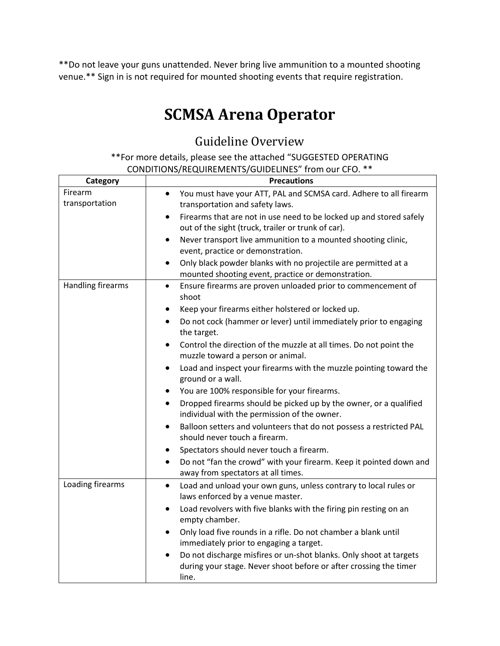\*\*Do not leave your guns unattended. Never bring live ammunition to a mounted shooting venue.\*\* Sign in is not required for mounted shooting events that require registration.

# **SCMSA Arena Operator**

## Guideline Overview

\*\*For more details, please see the attached "SUGGESTED OPERATING CONDITIONS/REQUIREMENTS/GUIDELINES" from our CFO. \*\*

| Category                  | <b>Precautions</b>                                                                                                                                                                                                                                                                                                                                                                                                                                                                                                                                                                                                                                                                                                                                                                                                                                                                                                                                                                 |
|---------------------------|------------------------------------------------------------------------------------------------------------------------------------------------------------------------------------------------------------------------------------------------------------------------------------------------------------------------------------------------------------------------------------------------------------------------------------------------------------------------------------------------------------------------------------------------------------------------------------------------------------------------------------------------------------------------------------------------------------------------------------------------------------------------------------------------------------------------------------------------------------------------------------------------------------------------------------------------------------------------------------|
| Firearm<br>transportation | You must have your ATT, PAL and SCMSA card. Adhere to all firearm<br>٠<br>transportation and safety laws.<br>Firearms that are not in use need to be locked up and stored safely<br>$\bullet$<br>out of the sight (truck, trailer or trunk of car).<br>Never transport live ammunition to a mounted shooting clinic,<br>$\bullet$<br>event, practice or demonstration.<br>Only black powder blanks with no projectile are permitted at a<br>$\bullet$<br>mounted shooting event, practice or demonstration.                                                                                                                                                                                                                                                                                                                                                                                                                                                                        |
| Handling firearms         | Ensure firearms are proven unloaded prior to commencement of<br>$\bullet$<br>shoot<br>Keep your firearms either holstered or locked up.<br>$\bullet$<br>Do not cock (hammer or lever) until immediately prior to engaging<br>$\bullet$<br>the target.<br>Control the direction of the muzzle at all times. Do not point the<br>$\bullet$<br>muzzle toward a person or animal.<br>Load and inspect your firearms with the muzzle pointing toward the<br>$\bullet$<br>ground or a wall.<br>You are 100% responsible for your firearms.<br>$\bullet$<br>Dropped firearms should be picked up by the owner, or a qualified<br>$\bullet$<br>individual with the permission of the owner.<br>Balloon setters and volunteers that do not possess a restricted PAL<br>٠<br>should never touch a firearm.<br>Spectators should never touch a firearm.<br>$\bullet$<br>Do not "fan the crowd" with your firearm. Keep it pointed down and<br>$\bullet$<br>away from spectators at all times. |
| Loading firearms          | Load and unload your own guns, unless contrary to local rules or<br>$\bullet$<br>laws enforced by a venue master.<br>Load revolvers with five blanks with the firing pin resting on an<br>$\bullet$<br>empty chamber.<br>Only load five rounds in a rifle. Do not chamber a blank until<br>$\bullet$<br>immediately prior to engaging a target.<br>Do not discharge misfires or un-shot blanks. Only shoot at targets<br>during your stage. Never shoot before or after crossing the timer<br>line.                                                                                                                                                                                                                                                                                                                                                                                                                                                                                |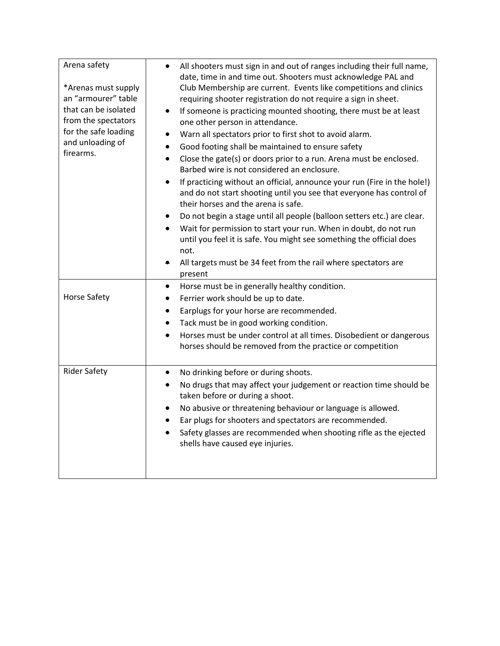| Arena safety<br>*Arenas must supply<br>an "armourer" table<br>that can be isolated<br>from the spectators<br>for the safe loading<br>and unloading of<br>firearms. | All shooters must sign in and out of ranges including their full name,<br>date, time in and time out. Shooters must acknowledge PAL and<br>Club Membership are current. Events like competitions and clinics<br>requiring shooter registration do not require a sign in sheet.<br>If someone is practicing mounted shooting, there must be at least<br>$\bullet$<br>one other person in attendance.<br>Warn all spectators prior to first shot to avoid alarm.<br>$\bullet$<br>Good footing shall be maintained to ensure safety<br>$\bullet$<br>Close the gate(s) or doors prior to a run. Arena must be enclosed.<br>$\bullet$<br>Barbed wire is not considered an enclosure.<br>If practicing without an official, announce your run (Fire in the hole!)<br>and do not start shooting until you see that everyone has control of<br>their horses and the arena is safe.<br>Do not begin a stage until all people (balloon setters etc.) are clear.<br>$\bullet$<br>Wait for permission to start your run. When in doubt, do not run<br>until you feel it is safe. You might see something the official does<br>not.<br>All targets must be 34 feet from the rail where spectators are<br>present |
|--------------------------------------------------------------------------------------------------------------------------------------------------------------------|-----------------------------------------------------------------------------------------------------------------------------------------------------------------------------------------------------------------------------------------------------------------------------------------------------------------------------------------------------------------------------------------------------------------------------------------------------------------------------------------------------------------------------------------------------------------------------------------------------------------------------------------------------------------------------------------------------------------------------------------------------------------------------------------------------------------------------------------------------------------------------------------------------------------------------------------------------------------------------------------------------------------------------------------------------------------------------------------------------------------------------------------------------------------------------------------------------|
| <b>Horse Safety</b>                                                                                                                                                | Horse must be in generally healthy condition.<br>$\bullet$<br>Ferrier work should be up to date.<br>$\bullet$<br>Earplugs for your horse are recommended.<br>٠<br>Tack must be in good working condition.<br>$\bullet$<br>Horses must be under control at all times. Disobedient or dangerous<br>horses should be removed from the practice or competition                                                                                                                                                                                                                                                                                                                                                                                                                                                                                                                                                                                                                                                                                                                                                                                                                                          |
| <b>Rider Safety</b>                                                                                                                                                | No drinking before or during shoots.<br>$\bullet$<br>No drugs that may affect your judgement or reaction time should be<br>taken before or during a shoot.<br>No abusive or threatening behaviour or language is allowed.<br>$\bullet$<br>Ear plugs for shooters and spectators are recommended.<br>$\bullet$<br>Safety glasses are recommended when shooting rifle as the ejected<br>shells have caused eye injuries.                                                                                                                                                                                                                                                                                                                                                                                                                                                                                                                                                                                                                                                                                                                                                                              |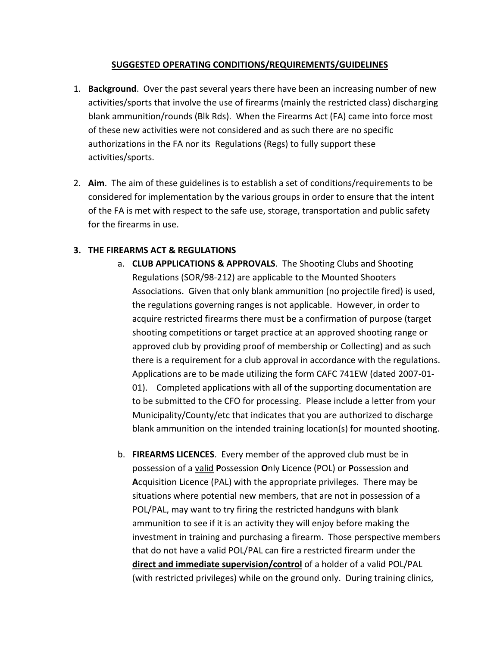#### **SUGGESTED OPERATING CONDITIONS/REQUIREMENTS/GUIDELINES**

- 1. **Background**. Over the past several years there have been an increasing number of new activities/sports that involve the use of firearms (mainly the restricted class) discharging blank ammunition/rounds (Blk Rds). When the Firearms Act (FA) came into force most of these new activities were not considered and as such there are no specific authorizations in the FA nor its Regulations (Regs) to fully support these activities/sports.
- 2. **Aim**. The aim of these guidelines is to establish a set of conditions/requirements to be considered for implementation by the various groups in order to ensure that the intent of the FA is met with respect to the safe use, storage, transportation and public safety for the firearms in use.

#### **3. THE FIREARMS ACT & REGULATIONS**

- a. **CLUB APPLICATIONS & APPROVALS**. The Shooting Clubs and Shooting Regulations (SOR/98-212) are applicable to the Mounted Shooters Associations. Given that only blank ammunition (no projectile fired) is used, the regulations governing ranges is not applicable. However, in order to acquire restricted firearms there must be a confirmation of purpose (target shooting competitions or target practice at an approved shooting range or approved club by providing proof of membership or Collecting) and as such there is a requirement for a club approval in accordance with the regulations. Applications are to be made utilizing the form CAFC 741EW (dated 2007-01- 01). Completed applications with all of the supporting documentation are to be submitted to the CFO for processing. Please include a letter from your Municipality/County/etc that indicates that you are authorized to discharge blank ammunition on the intended training location(s) for mounted shooting.
- b. **FIREARMS LICENCES**. Every member of the approved club must be in possession of a valid **P**ossession **O**nly **L**icence (POL) or **P**ossession and **A**cquisition **L**icence (PAL) with the appropriate privileges. There may be situations where potential new members, that are not in possession of a POL/PAL, may want to try firing the restricted handguns with blank ammunition to see if it is an activity they will enjoy before making the investment in training and purchasing a firearm. Those perspective members that do not have a valid POL/PAL can fire a restricted firearm under the **direct and immediate supervision/control** of a holder of a valid POL/PAL (with restricted privileges) while on the ground only. During training clinics,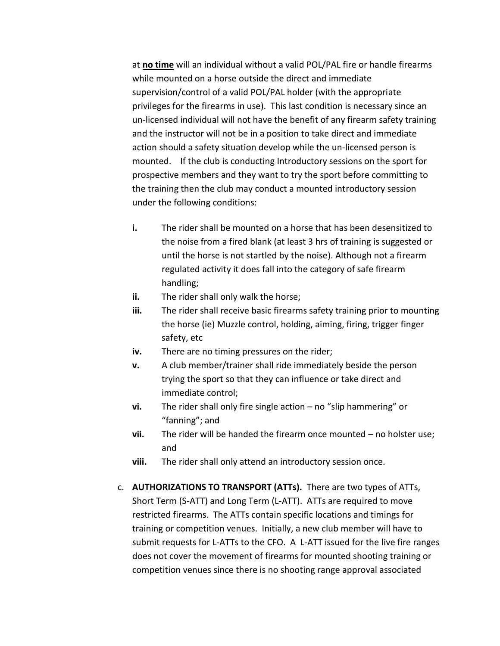at **no time** will an individual without a valid POL/PAL fire or handle firearms while mounted on a horse outside the direct and immediate supervision/control of a valid POL/PAL holder (with the appropriate privileges for the firearms in use). This last condition is necessary since an un-licensed individual will not have the benefit of any firearm safety training and the instructor will not be in a position to take direct and immediate action should a safety situation develop while the un-licensed person is mounted. If the club is conducting Introductory sessions on the sport for prospective members and they want to try the sport before committing to the training then the club may conduct a mounted introductory session under the following conditions:

- **i.** The rider shall be mounted on a horse that has been desensitized to the noise from a fired blank (at least 3 hrs of training is suggested or until the horse is not startled by the noise). Although not a firearm regulated activity it does fall into the category of safe firearm handling;
- **ii.** The rider shall only walk the horse;
- **iii.** The rider shall receive basic firearms safety training prior to mounting the horse (ie) Muzzle control, holding, aiming, firing, trigger finger safety, etc
- **iv.** There are no timing pressures on the rider;
- **v.** A club member/trainer shall ride immediately beside the person trying the sport so that they can influence or take direct and immediate control;
- **vi.** The rider shall only fire single action no "slip hammering" or "fanning"; and
- **vii.** The rider will be handed the firearm once mounted no holster use; and
- **viii.** The rider shall only attend an introductory session once.
- c. **AUTHORIZATIONS TO TRANSPORT (ATTs).** There are two types of ATTs, Short Term (S-ATT) and Long Term (L-ATT). ATTs are required to move restricted firearms. The ATTs contain specific locations and timings for training or competition venues. Initially, a new club member will have to submit requests for L-ATTs to the CFO. A L-ATT issued for the live fire ranges does not cover the movement of firearms for mounted shooting training or competition venues since there is no shooting range approval associated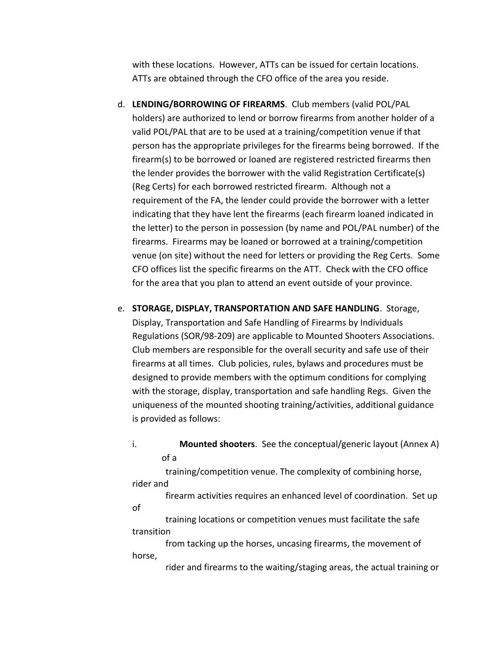with these locations. However, ATTs can be issued for certain locations. ATTs are obtained through the CFO office of the area you reside.

- d. **LENDING/BORROWING OF FIREARMS**. Club members (valid POL/PAL holders) are authorized to lend or borrow firearms from another holder of a valid POL/PAL that are to be used at a training/competition venue if that person has the appropriate privileges for the firearms being borrowed. If the firearm(s) to be borrowed or loaned are registered restricted firearms then the lender provides the borrower with the valid Registration Certificate(s) (Reg Certs) for each borrowed restricted firearm. Although not a requirement of the FA, the lender could provide the borrower with a letter indicating that they have lent the firearms (each firearm loaned indicated in the letter) to the person in possession (by name and POL/PAL number) of the firearms. Firearms may be loaned or borrowed at a training/competition venue (on site) without the need for letters or providing the Reg Certs. Some CFO offices list the specific firearms on the ATT. Check with the CFO office for the area that you plan to attend an event outside of your province.
- e. **STORAGE, DISPLAY, TRANSPORTATION AND SAFE HANDLING**. Storage, Display, Transportation and Safe Handling of Firearms by Individuals Regulations (SOR/98-209) are applicable to Mounted Shooters Associations. Club members are responsible for the overall security and safe use of their firearms at all times. Club policies, rules, bylaws and procedures must be designed to provide members with the optimum conditions for complying with the storage, display, transportation and safe handling Regs. Given the uniqueness of the mounted shooting training/activities, additional guidance is provided as follows:
	- i. **Mounted shooters**. See the conceptual/generic layout (Annex A) of a

 training/competition venue. The complexity of combining horse, rider and

 firearm activities requires an enhanced level of coordination. Set up of

 training locations or competition venues must facilitate the safe transition

 from tacking up the horses, uncasing firearms, the movement of horse,

rider and firearms to the waiting/staging areas, the actual training or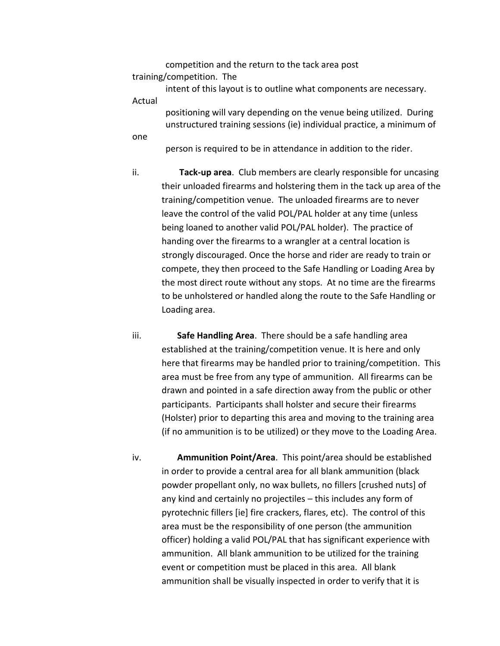competition and the return to the tack area post training/competition. The

intent of this layout is to outline what components are necessary.

Actual

 positioning will vary depending on the venue being utilized. During unstructured training sessions (ie) individual practice, a minimum of

one

person is required to be in attendance in addition to the rider.

ii. **Tack-up area**. Club members are clearly responsible for uncasing their unloaded firearms and holstering them in the tack up area of the training/competition venue. The unloaded firearms are to never leave the control of the valid POL/PAL holder at any time (unless being loaned to another valid POL/PAL holder). The practice of handing over the firearms to a wrangler at a central location is strongly discouraged. Once the horse and rider are ready to train or compete, they then proceed to the Safe Handling or Loading Area by the most direct route without any stops. At no time are the firearms to be unholstered or handled along the route to the Safe Handling or Loading area.

iii. **Safe Handling Area**. There should be a safe handling area established at the training/competition venue. It is here and only here that firearms may be handled prior to training/competition. This area must be free from any type of ammunition. All firearms can be drawn and pointed in a safe direction away from the public or other participants. Participants shall holster and secure their firearms (Holster) prior to departing this area and moving to the training area (if no ammunition is to be utilized) or they move to the Loading Area.

iv. **Ammunition Point/Area**. This point/area should be established in order to provide a central area for all blank ammunition (black powder propellant only, no wax bullets, no fillers [crushed nuts] of any kind and certainly no projectiles – this includes any form of pyrotechnic fillers [ie] fire crackers, flares, etc). The control of this area must be the responsibility of one person (the ammunition officer) holding a valid POL/PAL that has significant experience with ammunition. All blank ammunition to be utilized for the training event or competition must be placed in this area. All blank ammunition shall be visually inspected in order to verify that it is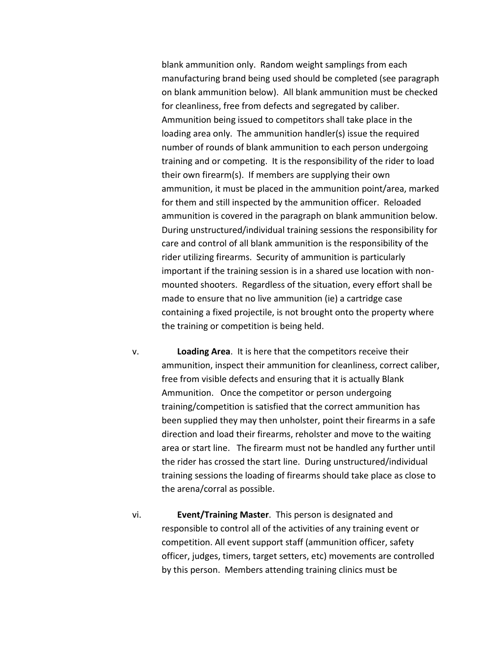blank ammunition only. Random weight samplings from each manufacturing brand being used should be completed (see paragraph on blank ammunition below). All blank ammunition must be checked for cleanliness, free from defects and segregated by caliber. Ammunition being issued to competitors shall take place in the loading area only. The ammunition handler(s) issue the required number of rounds of blank ammunition to each person undergoing training and or competing. It is the responsibility of the rider to load their own firearm(s). If members are supplying their own ammunition, it must be placed in the ammunition point/area, marked for them and still inspected by the ammunition officer. Reloaded ammunition is covered in the paragraph on blank ammunition below. During unstructured/individual training sessions the responsibility for care and control of all blank ammunition is the responsibility of the rider utilizing firearms. Security of ammunition is particularly important if the training session is in a shared use location with nonmounted shooters. Regardless of the situation, every effort shall be made to ensure that no live ammunition (ie) a cartridge case containing a fixed projectile, is not brought onto the property where the training or competition is being held.

- v. **Loading Area**. It is here that the competitors receive their ammunition, inspect their ammunition for cleanliness, correct caliber, free from visible defects and ensuring that it is actually Blank Ammunition. Once the competitor or person undergoing training/competition is satisfied that the correct ammunition has been supplied they may then unholster, point their firearms in a safe direction and load their firearms, reholster and move to the waiting area or start line. The firearm must not be handled any further until the rider has crossed the start line. During unstructured/individual training sessions the loading of firearms should take place as close to the arena/corral as possible.
- vi. **Event/Training Master**. This person is designated and responsible to control all of the activities of any training event or competition. All event support staff (ammunition officer, safety officer, judges, timers, target setters, etc) movements are controlled by this person. Members attending training clinics must be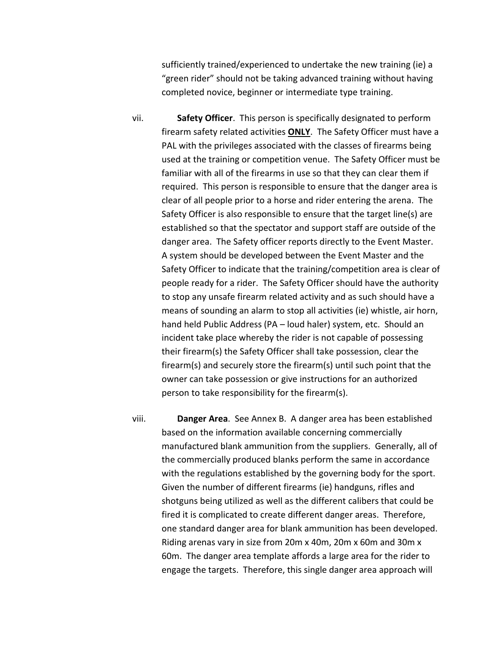sufficiently trained/experienced to undertake the new training (ie) a "green rider" should not be taking advanced training without having completed novice, beginner or intermediate type training.

- vii. **Safety Officer**. This person is specifically designated to perform firearm safety related activities **ONLY**. The Safety Officer must have a PAL with the privileges associated with the classes of firearms being used at the training or competition venue. The Safety Officer must be familiar with all of the firearms in use so that they can clear them if required. This person is responsible to ensure that the danger area is clear of all people prior to a horse and rider entering the arena. The Safety Officer is also responsible to ensure that the target line(s) are established so that the spectator and support staff are outside of the danger area. The Safety officer reports directly to the Event Master. A system should be developed between the Event Master and the Safety Officer to indicate that the training/competition area is clear of people ready for a rider. The Safety Officer should have the authority to stop any unsafe firearm related activity and as such should have a means of sounding an alarm to stop all activities (ie) whistle, air horn, hand held Public Address (PA – loud haler) system, etc. Should an incident take place whereby the rider is not capable of possessing their firearm(s) the Safety Officer shall take possession, clear the firearm(s) and securely store the firearm(s) until such point that the owner can take possession or give instructions for an authorized person to take responsibility for the firearm(s).
- viii. **Danger Area**. See Annex B. A danger area has been established based on the information available concerning commercially manufactured blank ammunition from the suppliers. Generally, all of the commercially produced blanks perform the same in accordance with the regulations established by the governing body for the sport. Given the number of different firearms (ie) handguns, rifles and shotguns being utilized as well as the different calibers that could be fired it is complicated to create different danger areas. Therefore, one standard danger area for blank ammunition has been developed. Riding arenas vary in size from 20m x 40m, 20m x 60m and 30m x 60m. The danger area template affords a large area for the rider to engage the targets. Therefore, this single danger area approach will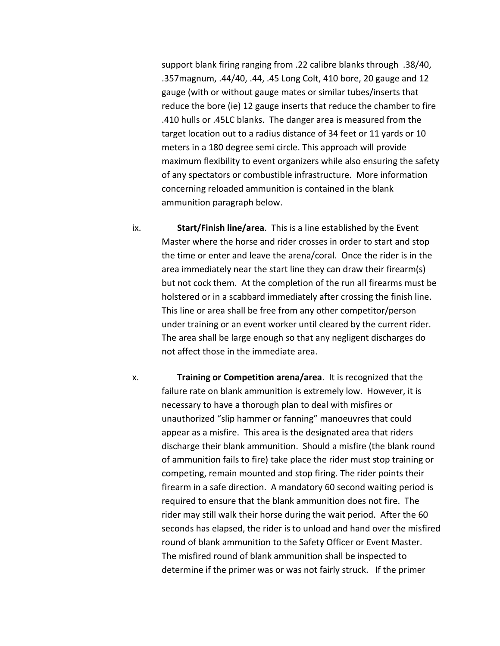support blank firing ranging from .22 calibre blanks through .38/40, .357magnum, .44/40, .44, .45 Long Colt, 410 bore, 20 gauge and 12 gauge (with or without gauge mates or similar tubes/inserts that reduce the bore (ie) 12 gauge inserts that reduce the chamber to fire .410 hulls or .45LC blanks. The danger area is measured from the target location out to a radius distance of 34 feet or 11 yards or 10 meters in a 180 degree semi circle. This approach will provide maximum flexibility to event organizers while also ensuring the safety of any spectators or combustible infrastructure. More information concerning reloaded ammunition is contained in the blank ammunition paragraph below.

- ix. **Start/Finish line/area**. This is a line established by the Event Master where the horse and rider crosses in order to start and stop the time or enter and leave the arena/coral. Once the rider is in the area immediately near the start line they can draw their firearm(s) but not cock them. At the completion of the run all firearms must be holstered or in a scabbard immediately after crossing the finish line. This line or area shall be free from any other competitor/person under training or an event worker until cleared by the current rider. The area shall be large enough so that any negligent discharges do not affect those in the immediate area.
- x. **Training or Competition arena/area**. It is recognized that the failure rate on blank ammunition is extremely low. However, it is necessary to have a thorough plan to deal with misfires or unauthorized "slip hammer or fanning" manoeuvres that could appear as a misfire. This area is the designated area that riders discharge their blank ammunition. Should a misfire (the blank round of ammunition fails to fire) take place the rider must stop training or competing, remain mounted and stop firing. The rider points their firearm in a safe direction. A mandatory 60 second waiting period is required to ensure that the blank ammunition does not fire. The rider may still walk their horse during the wait period. After the 60 seconds has elapsed, the rider is to unload and hand over the misfired round of blank ammunition to the Safety Officer or Event Master. The misfired round of blank ammunition shall be inspected to determine if the primer was or was not fairly struck. If the primer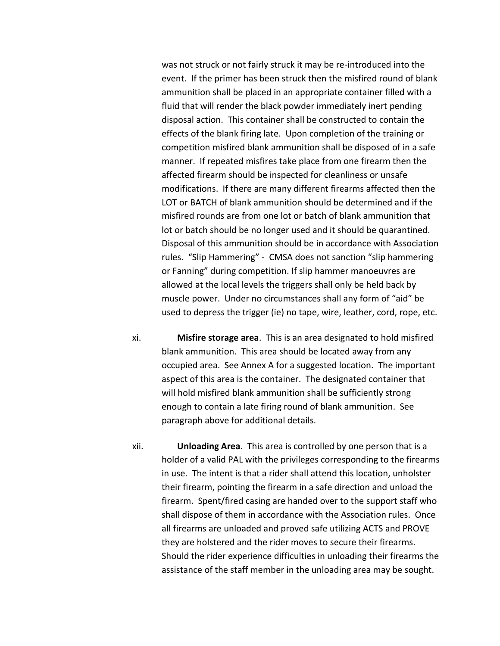was not struck or not fairly struck it may be re-introduced into the event. If the primer has been struck then the misfired round of blank ammunition shall be placed in an appropriate container filled with a fluid that will render the black powder immediately inert pending disposal action. This container shall be constructed to contain the effects of the blank firing late. Upon completion of the training or competition misfired blank ammunition shall be disposed of in a safe manner. If repeated misfires take place from one firearm then the affected firearm should be inspected for cleanliness or unsafe modifications. If there are many different firearms affected then the LOT or BATCH of blank ammunition should be determined and if the misfired rounds are from one lot or batch of blank ammunition that lot or batch should be no longer used and it should be quarantined. Disposal of this ammunition should be in accordance with Association rules. "Slip Hammering" - CMSA does not sanction "slip hammering or Fanning" during competition. If slip hammer manoeuvres are allowed at the local levels the triggers shall only be held back by muscle power. Under no circumstances shall any form of "aid" be used to depress the trigger (ie) no tape, wire, leather, cord, rope, etc.

- xi. **Misfire storage area**. This is an area designated to hold misfired blank ammunition. This area should be located away from any occupied area. See Annex A for a suggested location. The important aspect of this area is the container. The designated container that will hold misfired blank ammunition shall be sufficiently strong enough to contain a late firing round of blank ammunition. See paragraph above for additional details.
- xii. **Unloading Area**. This area is controlled by one person that is a holder of a valid PAL with the privileges corresponding to the firearms in use. The intent is that a rider shall attend this location, unholster their firearm, pointing the firearm in a safe direction and unload the firearm. Spent/fired casing are handed over to the support staff who shall dispose of them in accordance with the Association rules. Once all firearms are unloaded and proved safe utilizing ACTS and PROVE they are holstered and the rider moves to secure their firearms. Should the rider experience difficulties in unloading their firearms the assistance of the staff member in the unloading area may be sought.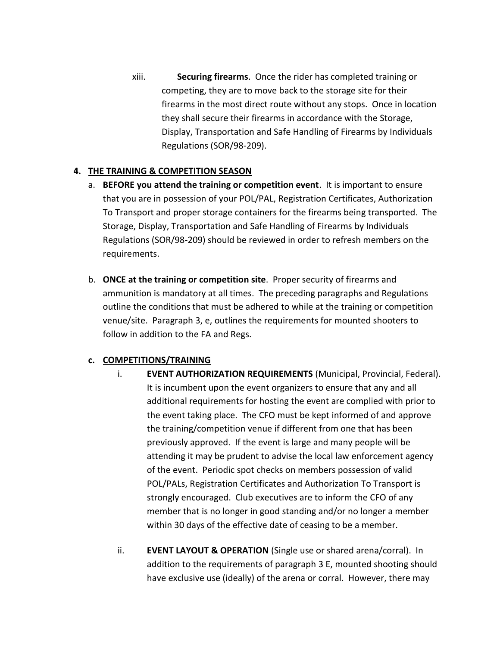xiii. **Securing firearms**. Once the rider has completed training or competing, they are to move back to the storage site for their firearms in the most direct route without any stops. Once in location they shall secure their firearms in accordance with the Storage, Display, Transportation and Safe Handling of Firearms by Individuals Regulations (SOR/98-209).

### **4. THE TRAINING & COMPETITION SEASON**

- a. **BEFORE you attend the training or competition event**. It is important to ensure that you are in possession of your POL/PAL, Registration Certificates, Authorization To Transport and proper storage containers for the firearms being transported. The Storage, Display, Transportation and Safe Handling of Firearms by Individuals Regulations (SOR/98-209) should be reviewed in order to refresh members on the requirements.
- b. **ONCE at the training or competition site**. Proper security of firearms and ammunition is mandatory at all times. The preceding paragraphs and Regulations outline the conditions that must be adhered to while at the training or competition venue/site. Paragraph 3, e, outlines the requirements for mounted shooters to follow in addition to the FA and Regs.

#### **c. COMPETITIONS/TRAINING**

- i. **EVENT AUTHORIZATION REQUIREMENTS** (Municipal, Provincial, Federal). It is incumbent upon the event organizers to ensure that any and all additional requirements for hosting the event are complied with prior to the event taking place. The CFO must be kept informed of and approve the training/competition venue if different from one that has been previously approved. If the event is large and many people will be attending it may be prudent to advise the local law enforcement agency of the event. Periodic spot checks on members possession of valid POL/PALs, Registration Certificates and Authorization To Transport is strongly encouraged. Club executives are to inform the CFO of any member that is no longer in good standing and/or no longer a member within 30 days of the effective date of ceasing to be a member.
- ii. **EVENT LAYOUT & OPERATION** (Single use or shared arena/corral). In addition to the requirements of paragraph 3 E, mounted shooting should have exclusive use (ideally) of the arena or corral. However, there may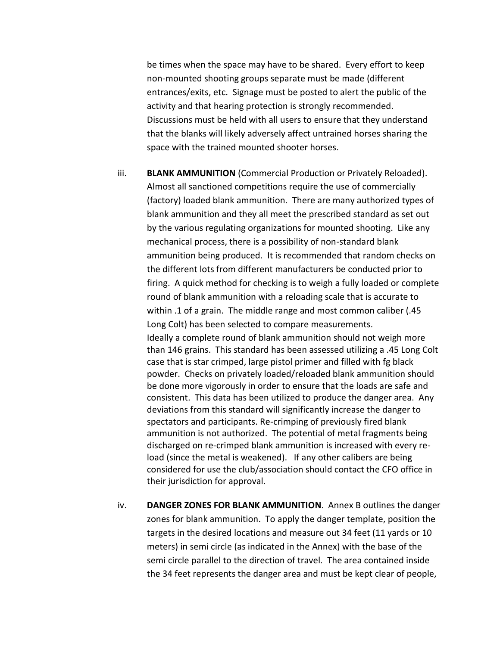be times when the space may have to be shared. Every effort to keep non-mounted shooting groups separate must be made (different entrances/exits, etc. Signage must be posted to alert the public of the activity and that hearing protection is strongly recommended. Discussions must be held with all users to ensure that they understand that the blanks will likely adversely affect untrained horses sharing the space with the trained mounted shooter horses.

iii. **BLANK AMMUNITION** (Commercial Production or Privately Reloaded). Almost all sanctioned competitions require the use of commercially (factory) loaded blank ammunition. There are many authorized types of blank ammunition and they all meet the prescribed standard as set out by the various regulating organizations for mounted shooting. Like any mechanical process, there is a possibility of non-standard blank ammunition being produced. It is recommended that random checks on the different lots from different manufacturers be conducted prior to firing. A quick method for checking is to weigh a fully loaded or complete round of blank ammunition with a reloading scale that is accurate to within .1 of a grain. The middle range and most common caliber (.45 Long Colt) has been selected to compare measurements. Ideally a complete round of blank ammunition should not weigh more than 146 grains. This standard has been assessed utilizing a .45 Long Colt case that is star crimped, large pistol primer and filled with fg black powder. Checks on privately loaded/reloaded blank ammunition should be done more vigorously in order to ensure that the loads are safe and consistent. This data has been utilized to produce the danger area. Any deviations from this standard will significantly increase the danger to spectators and participants. Re-crimping of previously fired blank ammunition is not authorized. The potential of metal fragments being discharged on re-crimped blank ammunition is increased with every reload (since the metal is weakened). If any other calibers are being considered for use the club/association should contact the CFO office in their jurisdiction for approval.

iv. **DANGER ZONES FOR BLANK AMMUNITION**. Annex B outlines the danger zones for blank ammunition. To apply the danger template, position the targets in the desired locations and measure out 34 feet (11 yards or 10 meters) in semi circle (as indicated in the Annex) with the base of the semi circle parallel to the direction of travel. The area contained inside the 34 feet represents the danger area and must be kept clear of people,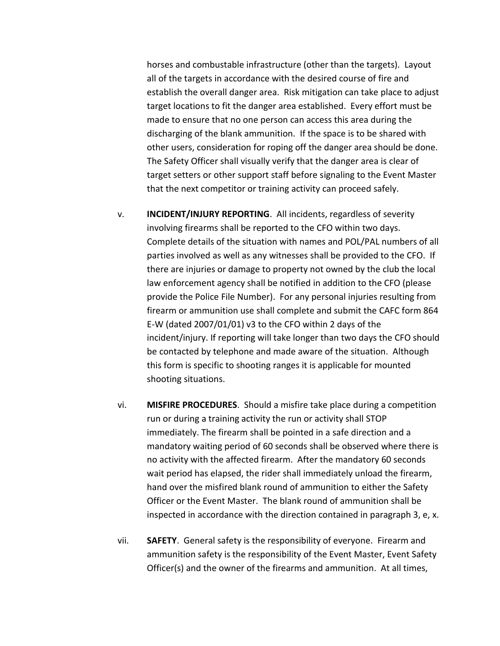horses and combustable infrastructure (other than the targets). Layout all of the targets in accordance with the desired course of fire and establish the overall danger area. Risk mitigation can take place to adjust target locations to fit the danger area established. Every effort must be made to ensure that no one person can access this area during the discharging of the blank ammunition. If the space is to be shared with other users, consideration for roping off the danger area should be done. The Safety Officer shall visually verify that the danger area is clear of target setters or other support staff before signaling to the Event Master that the next competitor or training activity can proceed safely.

- v. **INCIDENT/INJURY REPORTING**. All incidents, regardless of severity involving firearms shall be reported to the CFO within two days. Complete details of the situation with names and POL/PAL numbers of all parties involved as well as any witnesses shall be provided to the CFO. If there are injuries or damage to property not owned by the club the local law enforcement agency shall be notified in addition to the CFO (please provide the Police File Number). For any personal injuries resulting from firearm or ammunition use shall complete and submit the CAFC form 864 E-W (dated 2007/01/01) v3 to the CFO within 2 days of the incident/injury. If reporting will take longer than two days the CFO should be contacted by telephone and made aware of the situation. Although this form is specific to shooting ranges it is applicable for mounted shooting situations.
- vi. **MISFIRE PROCEDURES**. Should a misfire take place during a competition run or during a training activity the run or activity shall STOP immediately. The firearm shall be pointed in a safe direction and a mandatory waiting period of 60 seconds shall be observed where there is no activity with the affected firearm. After the mandatory 60 seconds wait period has elapsed, the rider shall immediately unload the firearm, hand over the misfired blank round of ammunition to either the Safety Officer or the Event Master. The blank round of ammunition shall be inspected in accordance with the direction contained in paragraph 3, e, x.
- vii. **SAFETY**. General safety is the responsibility of everyone. Firearm and ammunition safety is the responsibility of the Event Master, Event Safety Officer(s) and the owner of the firearms and ammunition. At all times,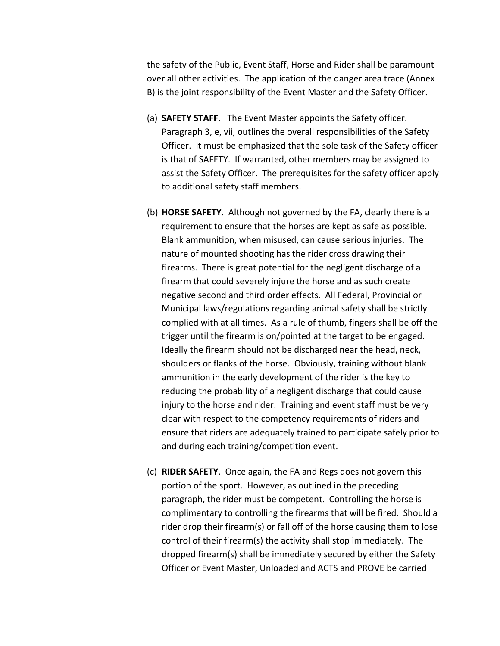the safety of the Public, Event Staff, Horse and Rider shall be paramount over all other activities. The application of the danger area trace (Annex B) is the joint responsibility of the Event Master and the Safety Officer.

- (a) **SAFETY STAFF**. The Event Master appoints the Safety officer. Paragraph 3, e, vii, outlines the overall responsibilities of the Safety Officer. It must be emphasized that the sole task of the Safety officer is that of SAFETY. If warranted, other members may be assigned to assist the Safety Officer. The prerequisites for the safety officer apply to additional safety staff members.
- (b) **HORSE SAFETY**. Although not governed by the FA, clearly there is a requirement to ensure that the horses are kept as safe as possible. Blank ammunition, when misused, can cause serious injuries. The nature of mounted shooting has the rider cross drawing their firearms. There is great potential for the negligent discharge of a firearm that could severely injure the horse and as such create negative second and third order effects. All Federal, Provincial or Municipal laws/regulations regarding animal safety shall be strictly complied with at all times. As a rule of thumb, fingers shall be off the trigger until the firearm is on/pointed at the target to be engaged. Ideally the firearm should not be discharged near the head, neck, shoulders or flanks of the horse. Obviously, training without blank ammunition in the early development of the rider is the key to reducing the probability of a negligent discharge that could cause injury to the horse and rider. Training and event staff must be very clear with respect to the competency requirements of riders and ensure that riders are adequately trained to participate safely prior to and during each training/competition event.
- (c) **RIDER SAFETY**. Once again, the FA and Regs does not govern this portion of the sport. However, as outlined in the preceding paragraph, the rider must be competent. Controlling the horse is complimentary to controlling the firearms that will be fired. Should a rider drop their firearm(s) or fall off of the horse causing them to lose control of their firearm(s) the activity shall stop immediately. The dropped firearm(s) shall be immediately secured by either the Safety Officer or Event Master, Unloaded and ACTS and PROVE be carried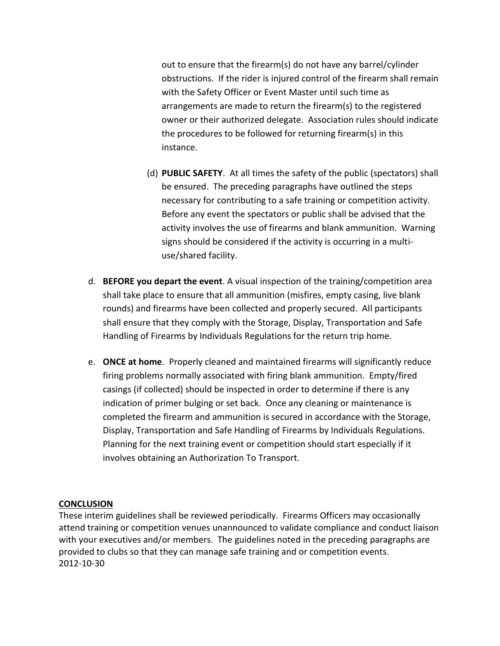out to ensure that the firearm(s) do not have any barrel/cylinder obstructions. If the rider is injured control of the firearm shall remain with the Safety Officer or Event Master until such time as arrangements are made to return the firearm(s) to the registered owner or their authorized delegate. Association rules should indicate the procedures to be followed for returning firearm(s) in this instance.

- (d) **PUBLIC SAFETY**. At all times the safety of the public (spectators) shall be ensured. The preceding paragraphs have outlined the steps necessary for contributing to a safe training or competition activity. Before any event the spectators or public shall be advised that the activity involves the use of firearms and blank ammunition. Warning signs should be considered if the activity is occurring in a multiuse/shared facility.
- d. **BEFORE you depart the event**. A visual inspection of the training/competition area shall take place to ensure that all ammunition (misfires, empty casing, live blank rounds) and firearms have been collected and properly secured. All participants shall ensure that they comply with the Storage, Display, Transportation and Safe Handling of Firearms by Individuals Regulations for the return trip home.
- e. **ONCE at home**. Properly cleaned and maintained firearms will significantly reduce firing problems normally associated with firing blank ammunition. Empty/fired casings (if collected) should be inspected in order to determine if there is any indication of primer bulging or set back. Once any cleaning or maintenance is completed the firearm and ammunition is secured in accordance with the Storage, Display, Transportation and Safe Handling of Firearms by Individuals Regulations. Planning for the next training event or competition should start especially if it involves obtaining an Authorization To Transport.

#### **CONCLUSION**

These interim guidelines shall be reviewed periodically. Firearms Officers may occasionally attend training or competition venues unannounced to validate compliance and conduct liaison with your executives and/or members. The guidelines noted in the preceding paragraphs are provided to clubs so that they can manage safe training and or competition events. 2012-10-30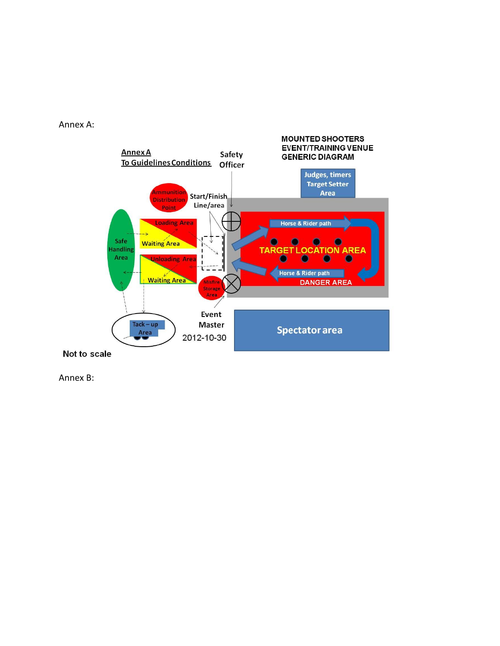



Annex B: